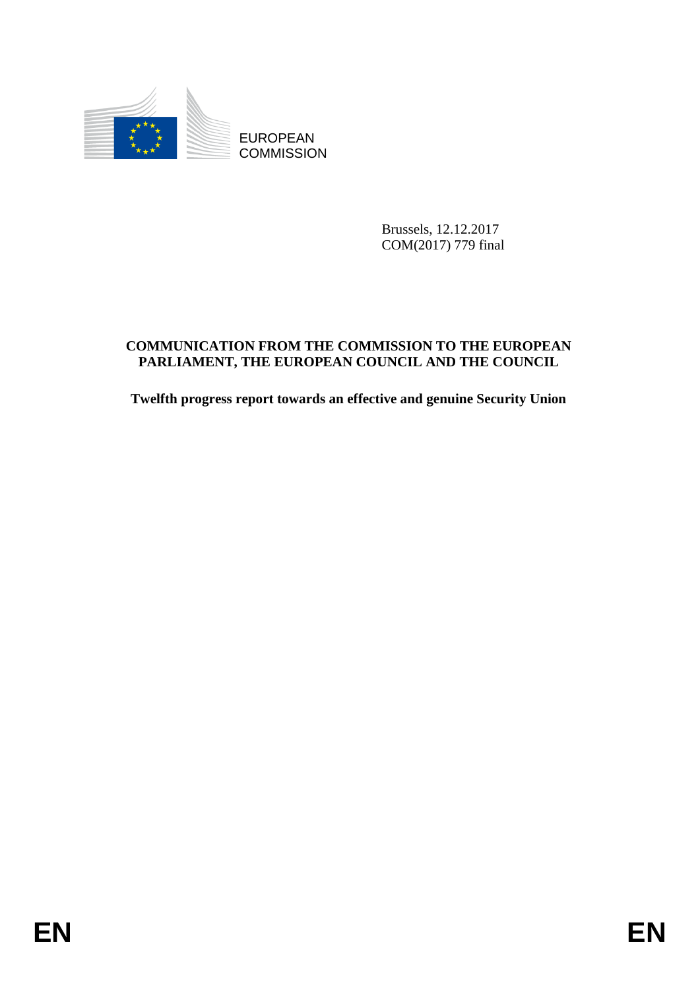

Brussels, 12.12.2017 COM(2017) 779 final

# EUROPEAN<br>
EUROPEAN<br>
COMMISSION<br> **ENGLISHERE COMMISSION TO THE EUROPEAN**<br>
COMMINICATION FROM THE COMMISSION TO THE EUROPEAN<br> **ENGLISHERE FROM THE EUROPEAN**<br> **ENGLISHERE FROM THE EUROPEAN COUNCIL AND THE COUNCIL**<br> **ENGLISHER COMMUNICATION FROM THE COMMISSION TO THE EUROPEAN PARLIAMENT, THE EUROPEAN COUNCIL AND THE COUNCIL**

**Twelfth progress report towards an effective and genuine Security Union**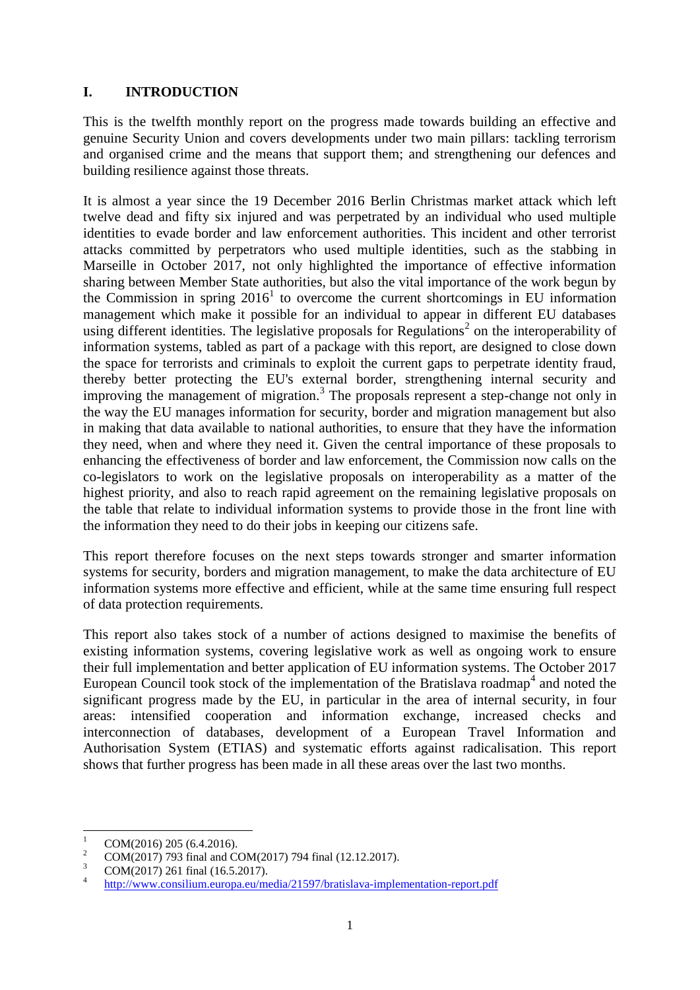# **I. INTRODUCTION**

This is the twelfth monthly report on the progress made towards building an effective and genuine Security Union and covers developments under two main pillars: tackling terrorism and organised crime and the means that support them; and strengthening our defences and building resilience against those threats.

It is almost a year since the 19 December 2016 Berlin Christmas market attack which left twelve dead and fifty six injured and was perpetrated by an individual who used multiple identities to evade border and law enforcement authorities. This incident and other terrorist attacks committed by perpetrators who used multiple identities, such as the stabbing in Marseille in October 2017, not only highlighted the importance of effective information sharing between Member State authorities, but also the vital importance of the work begun by the Commission in spring  $2016<sup>1</sup>$  to overcome the current shortcomings in EU information management which make it possible for an individual to appear in different EU databases using different identities. The legislative proposals for Regulations<sup>2</sup> on the interoperability of information systems, tabled as part of a package with this report, are designed to close down the space for terrorists and criminals to exploit the current gaps to perpetrate identity fraud, thereby better protecting the EU's external border, strengthening internal security and improving the management of migration.<sup>3</sup> The proposals represent a step-change not only in the way the EU manages information for security, border and migration management but also in making that data available to national authorities, to ensure that they have the information they need, when and where they need it. Given the central importance of these proposals to enhancing the effectiveness of border and law enforcement, the Commission now calls on the co-legislators to work on the legislative proposals on interoperability as a matter of the highest priority, and also to reach rapid agreement on the remaining legislative proposals on the table that relate to individual information systems to provide those in the front line with the information they need to do their jobs in keeping our citizens safe.

This report therefore focuses on the next steps towards stronger and smarter information systems for security, borders and migration management, to make the data architecture of EU information systems more effective and efficient, while at the same time ensuring full respect of data protection requirements.

This report also takes stock of a number of actions designed to maximise the benefits of existing information systems, covering legislative work as well as ongoing work to ensure their full implementation and better application of EU information systems. The October 2017 European Council took stock of the implementation of the Bratislava roadmap<sup>4</sup> and noted the significant progress made by the EU, in particular in the area of internal security, in four areas: intensified cooperation and information exchange, increased checks and interconnection of databases, development of a European Travel Information and Authorisation System (ETIAS) and systematic efforts against radicalisation. This report shows that further progress has been made in all these areas over the last two months.

 $\mathbf{1}$  $\frac{1}{2}$  COM(2016) 205 (6.4.2016).

<sup>&</sup>lt;sup>2</sup> COM(2017) 793 final and COM(2017) 794 final (12.12.2017).

COM(2017) 261 final (16.5.2017).

<sup>4</sup> <http://www.consilium.europa.eu/media/21597/bratislava-implementation-report.pdf>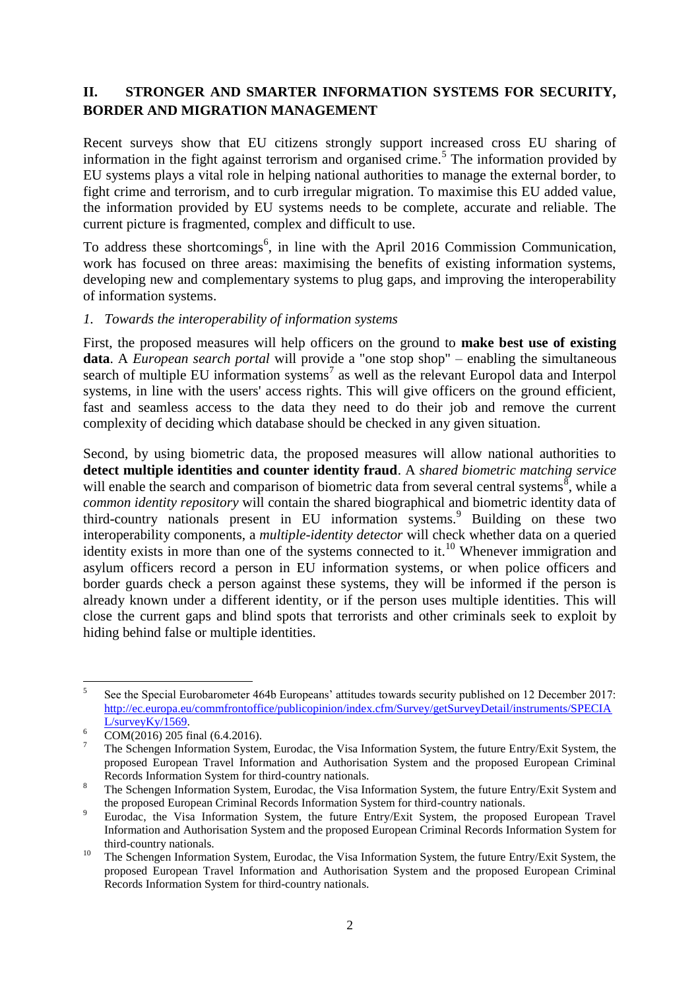# **II. STRONGER AND SMARTER INFORMATION SYSTEMS FOR SECURITY, BORDER AND MIGRATION MANAGEMENT**

Recent surveys show that EU citizens strongly support increased cross EU sharing of information in the fight against terrorism and organised crime.<sup>5</sup> The information provided by EU systems plays a vital role in helping national authorities to manage the external border, to fight crime and terrorism, and to curb irregular migration. To maximise this EU added value, the information provided by EU systems needs to be complete, accurate and reliable. The current picture is fragmented, complex and difficult to use.

To address these shortcomings<sup>6</sup>, in line with the April 2016 Commission Communication, work has focused on three areas: maximising the benefits of existing information systems, developing new and complementary systems to plug gaps, and improving the interoperability of information systems.

### *1. Towards the interoperability of information systems*

First, the proposed measures will help officers on the ground to **make best use of existing data**. A *European search portal* will provide a "one stop shop" – enabling the simultaneous search of multiple EU information systems<sup>7</sup> as well as the relevant Europol data and Interpol systems, in line with the users' access rights. This will give officers on the ground efficient, fast and seamless access to the data they need to do their job and remove the current complexity of deciding which database should be checked in any given situation.

Second, by using biometric data, the proposed measures will allow national authorities to **detect multiple identities and counter identity fraud**. A *shared biometric matching service* will enable the search and comparison of biometric data from several central systems<sup>8</sup>, while a *common identity repository* will contain the shared biographical and biometric identity data of third-country nationals present in EU information systems.<sup>9</sup> Building on these two interoperability components, a *multiple-identity detector* will check whether data on a queried identity exists in more than one of the systems connected to it.<sup>10</sup> Whenever immigration and asylum officers record a person in EU information systems, or when police officers and border guards check a person against these systems, they will be informed if the person is already known under a different identity, or if the person uses multiple identities. This will close the current gaps and blind spots that terrorists and other criminals seek to exploit by hiding behind false or multiple identities.

 $\frac{1}{5}$ See the Special Eurobarometer 464b Europeans' attitudes towards security published on 12 December 2017: [http://ec.europa.eu/commfrontoffice/publicopinion/index.cfm/Survey/getSurveyDetail/instruments/SPECIA](http://ec.europa.eu/commfrontoffice/publicopinion/index.cfm/Survey/getSurveyDetail/instruments/SPECIAL/surveyKy/1569) [L/surveyKy/1569.](http://ec.europa.eu/commfrontoffice/publicopinion/index.cfm/Survey/getSurveyDetail/instruments/SPECIAL/surveyKy/1569)

 $6 \quad \overline{COM(2016) \, 205}$  final (6.4.2016).

<sup>7</sup> The Schengen Information System, Eurodac, the Visa Information System, the future Entry/Exit System, the proposed European Travel Information and Authorisation System and the proposed European Criminal Records Information System for third-country nationals.

<sup>&</sup>lt;sup>8</sup> The Schengen Information System, Eurodac, the Visa Information System, the future Entry/Exit System and the proposed European Criminal Records Information System for third-country nationals.

<sup>&</sup>lt;sup>9</sup> Eurodac, the Visa Information System, the future Entry/Exit System, the proposed European Travel Information and Authorisation System and the proposed European Criminal Records Information System for third-country nationals.

<sup>&</sup>lt;sup>10</sup> The Schengen Information System, Eurodac, the Visa Information System, the future Entry/Exit System, the proposed European Travel Information and Authorisation System and the proposed European Criminal Records Information System for third-country nationals.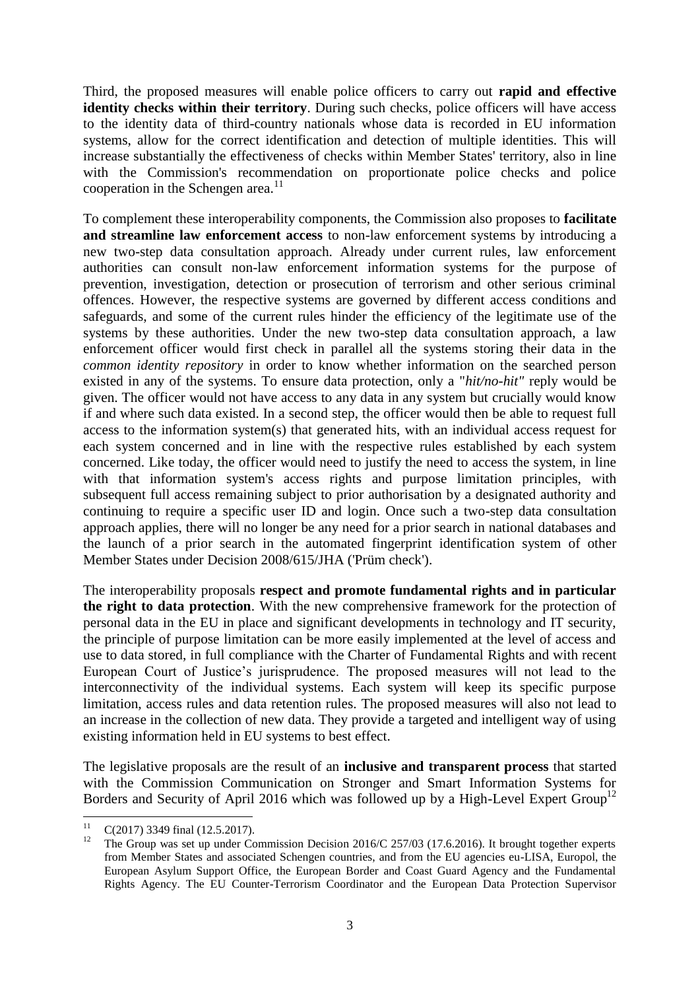Third, the proposed measures will enable police officers to carry out **rapid and effective identity checks within their territory**. During such checks, police officers will have access to the identity data of third-country nationals whose data is recorded in EU information systems, allow for the correct identification and detection of multiple identities. This will increase substantially the effectiveness of checks within Member States' territory, also in line with the Commission's recommendation on proportionate police checks and police cooperation in the Schengen area. $11$ 

To complement these interoperability components, the Commission also proposes to **facilitate and streamline law enforcement access** to non-law enforcement systems by introducing a new two-step data consultation approach. Already under current rules, law enforcement authorities can consult non-law enforcement information systems for the purpose of prevention, investigation, detection or prosecution of terrorism and other serious criminal offences. However, the respective systems are governed by different access conditions and safeguards, and some of the current rules hinder the efficiency of the legitimate use of the systems by these authorities. Under the new two-step data consultation approach, a law enforcement officer would first check in parallel all the systems storing their data in the *common identity repository* in order to know whether information on the searched person existed in any of the systems. To ensure data protection, only a "*hit/no-hit"* reply would be given. The officer would not have access to any data in any system but crucially would know if and where such data existed. In a second step, the officer would then be able to request full access to the information system(s) that generated hits, with an individual access request for each system concerned and in line with the respective rules established by each system concerned. Like today, the officer would need to justify the need to access the system, in line with that information system's access rights and purpose limitation principles, with subsequent full access remaining subject to prior authorisation by a designated authority and continuing to require a specific user ID and login. Once such a two-step data consultation approach applies, there will no longer be any need for a prior search in national databases and the launch of a prior search in the automated fingerprint identification system of other Member States under Decision 2008/615/JHA ('Prüm check').

The interoperability proposals **respect and promote fundamental rights and in particular the right to data protection**. With the new comprehensive framework for the protection of personal data in the EU in place and significant developments in technology and IT security, the principle of purpose limitation can be more easily implemented at the level of access and use to data stored, in full compliance with the Charter of Fundamental Rights and with recent European Court of Justice's jurisprudence. The proposed measures will not lead to the interconnectivity of the individual systems. Each system will keep its specific purpose limitation, access rules and data retention rules. The proposed measures will also not lead to an increase in the collection of new data. They provide a targeted and intelligent way of using existing information held in EU systems to best effect.

The legislative proposals are the result of an **inclusive and transparent process** that started with the Commission Communication on Stronger and Smart Information Systems for Borders and Security of April 2016 which was followed up by a High-Level Expert Group<sup>12</sup>

 $11$  $^{11}$  C(2017) 3349 final (12.5.2017).

<sup>12</sup> The Group was set up under Commission Decision 2016/C 257/03 (17.6.2016). It brought together experts from Member States and associated Schengen countries, and from the EU agencies eu-LISA, Europol, the European Asylum Support Office, the European Border and Coast Guard Agency and the Fundamental Rights Agency. The EU Counter-Terrorism Coordinator and the European Data Protection Supervisor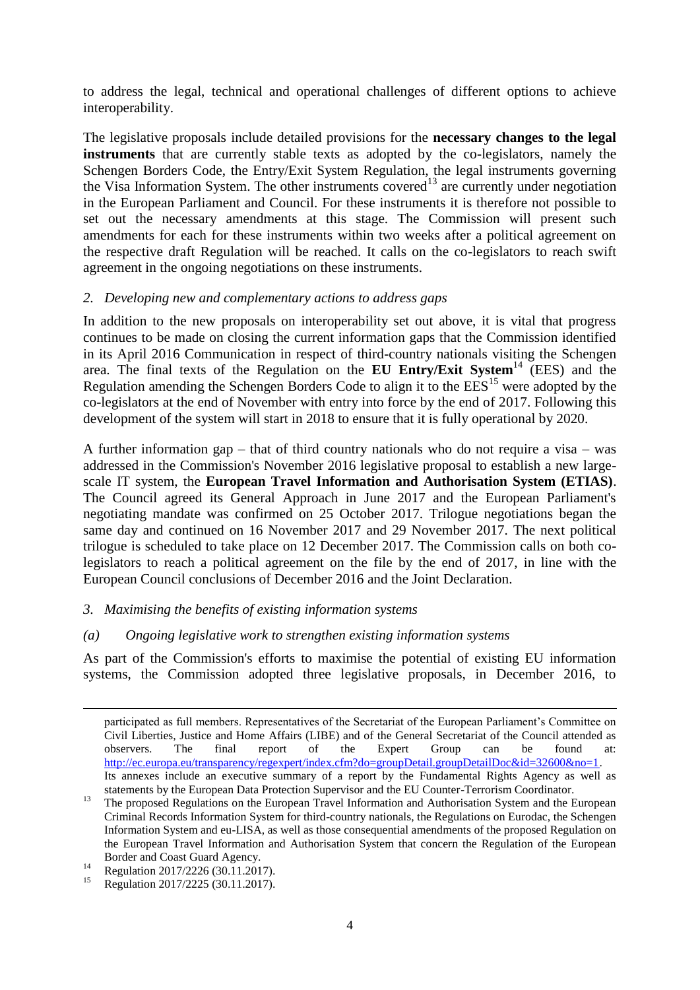to address the legal, technical and operational challenges of different options to achieve interoperability.

The legislative proposals include detailed provisions for the **necessary changes to the legal instruments** that are currently stable texts as adopted by the co-legislators, namely the Schengen Borders Code, the Entry/Exit System Regulation, the legal instruments governing the Visa Information System. The other instruments covered<sup>13</sup> are currently under negotiation in the European Parliament and Council. For these instruments it is therefore not possible to set out the necessary amendments at this stage. The Commission will present such amendments for each for these instruments within two weeks after a political agreement on the respective draft Regulation will be reached. It calls on the co-legislators to reach swift agreement in the ongoing negotiations on these instruments.

### *2. Developing new and complementary actions to address gaps*

In addition to the new proposals on interoperability set out above, it is vital that progress continues to be made on closing the current information gaps that the Commission identified in its April 2016 Communication in respect of third-country nationals visiting the Schengen area. The final texts of the Regulation on the **EU Entry/Exit System**<sup>14</sup> (EES) and the Regulation amending the Schengen Borders Code to align it to the  $\mathrm{EES}^{15}$  were adopted by the co-legislators at the end of November with entry into force by the end of 2017. Following this development of the system will start in 2018 to ensure that it is fully operational by 2020.

A further information gap – that of third country nationals who do not require a visa – was addressed in the Commission's November 2016 legislative proposal to establish a new largescale IT system, the **European Travel Information and Authorisation System (ETIAS)**. The Council agreed its General Approach in June 2017 and the European Parliament's negotiating mandate was confirmed on 25 October 2017. Trilogue negotiations began the same day and continued on 16 November 2017 and 29 November 2017. The next political trilogue is scheduled to take place on 12 December 2017. The Commission calls on both colegislators to reach a political agreement on the file by the end of 2017, in line with the European Council conclusions of December 2016 and the Joint Declaration.

# *3. Maximising the benefits of existing information systems*

# *(a) Ongoing legislative work to strengthen existing information systems*

As part of the Commission's efforts to maximise the potential of existing EU information systems, the Commission adopted three legislative proposals, in December 2016, to

**.** 

participated as full members. Representatives of the Secretariat of the European Parliament's Committee on Civil Liberties, Justice and Home Affairs (LIBE) and of the General Secretariat of the Council attended as observers. The final report of the Expert Group can be found at: [http://ec.europa.eu/transparency/regexpert/index.cfm?do=groupDetail.groupDetailDoc&id=32600&no=1.](http://ec.europa.eu/transparency/regexpert/index.cfm?do=groupDetail.groupDetailDoc&id=32600&no=1) Its annexes include an executive summary of a report by the Fundamental Rights Agency as well as statements by the European Data Protection Supervisor and the EU Counter-Terrorism Coordinator.

<sup>&</sup>lt;sup>13</sup> The proposed Regulations on the European Travel Information and Authorisation System and the European Criminal Records Information System for third-country nationals, the Regulations on Eurodac, the Schengen Information System and eu-LISA, as well as those consequential amendments of the proposed Regulation on the European Travel Information and Authorisation System that concern the Regulation of the European Border and Coast Guard Agency.

<sup>&</sup>lt;sup>14</sup> Regulation 2017/2226 (30.11.2017).

Regulation 2017/2225 (30.11.2017).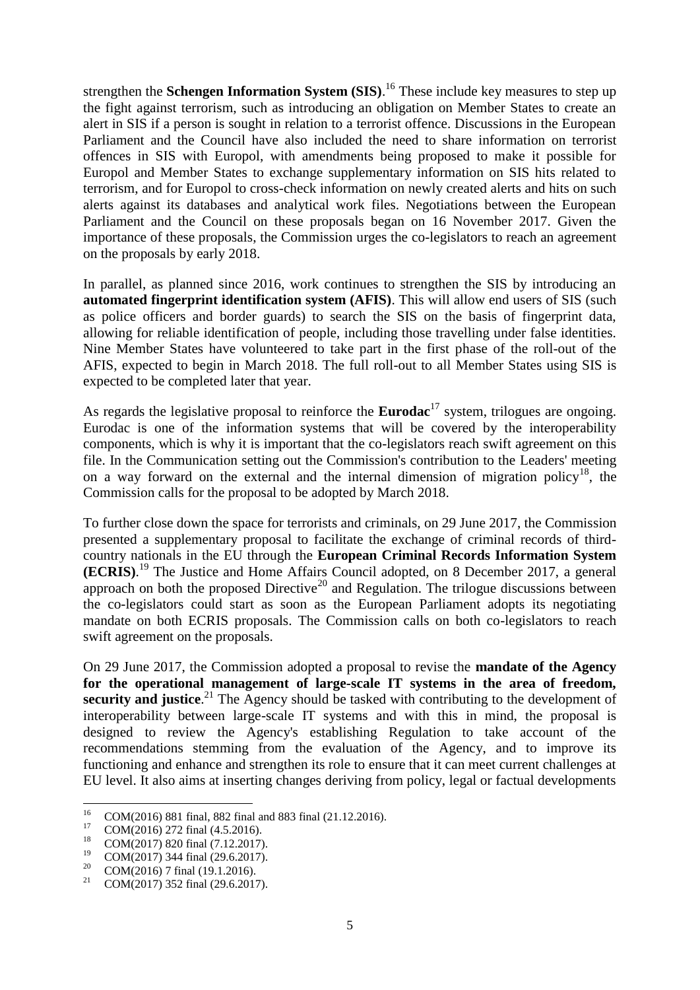strengthen the **Schengen Information System (SIS)**. <sup>16</sup> These include key measures to step up the fight against terrorism, such as introducing an obligation on Member States to create an alert in SIS if a person is sought in relation to a terrorist offence. Discussions in the European Parliament and the Council have also included the need to share information on terrorist offences in SIS with Europol, with amendments being proposed to make it possible for Europol and Member States to exchange supplementary information on SIS hits related to terrorism, and for Europol to cross-check information on newly created alerts and hits on such alerts against its databases and analytical work files. Negotiations between the European Parliament and the Council on these proposals began on 16 November 2017. Given the importance of these proposals, the Commission urges the co-legislators to reach an agreement on the proposals by early 2018.

In parallel, as planned since 2016, work continues to strengthen the SIS by introducing an **automated fingerprint identification system (AFIS)**. This will allow end users of SIS (such as police officers and border guards) to search the SIS on the basis of fingerprint data, allowing for reliable identification of people, including those travelling under false identities. Nine Member States have volunteered to take part in the first phase of the roll-out of the AFIS, expected to begin in March 2018. The full roll-out to all Member States using SIS is expected to be completed later that year.

As regards the legislative proposal to reinforce the **Eurodac**<sup>17</sup> system, trilogues are ongoing. Eurodac is one of the information systems that will be covered by the interoperability components, which is why it is important that the co-legislators reach swift agreement on this file. In the Communication setting out the Commission's contribution to the Leaders' meeting on a way forward on the external and the internal dimension of migration policy<sup>18</sup>, the Commission calls for the proposal to be adopted by March 2018.

To further close down the space for terrorists and criminals, on 29 June 2017, the Commission presented a supplementary proposal to facilitate the exchange of criminal records of thirdcountry nationals in the EU through the **European Criminal Records Information System (ECRIS)**. <sup>19</sup> The Justice and Home Affairs Council adopted, on 8 December 2017, a general approach on both the proposed Directive<sup>20</sup> and Regulation. The trilogue discussions between the co-legislators could start as soon as the European Parliament adopts its negotiating mandate on both ECRIS proposals. The Commission calls on both co-legislators to reach swift agreement on the proposals.

On 29 June 2017, the Commission adopted a proposal to revise the **mandate of the Agency for the operational management of large-scale IT systems in the area of freedom,**  security and justice.<sup>21</sup> The Agency should be tasked with contributing to the development of interoperability between large-scale IT systems and with this in mind, the proposal is designed to review the Agency's establishing Regulation to take account of the recommendations stemming from the evaluation of the Agency, and to improve its functioning and enhance and strengthen its role to ensure that it can meet current challenges at EU level. It also aims at inserting changes deriving from policy, legal or factual developments

<sup>16</sup> <sup>16</sup> COM(2016) 881 final, 882 final and 883 final (21.12.2016).

 $^{17}$  COM(2016) 272 final (4.5.2016).

<sup>&</sup>lt;sup>18</sup> COM(2017) 820 final (7.12.2017).<br><sup>19</sup> COM(2017) 344 final (20.6.2017).

<sup>&</sup>lt;sup>19</sup> COM(2017) 344 final (29.6.2017).

<sup>&</sup>lt;sup>20</sup> COM(2016) 7 final (19.1.2016).

COM(2017) 352 final (29.6.2017).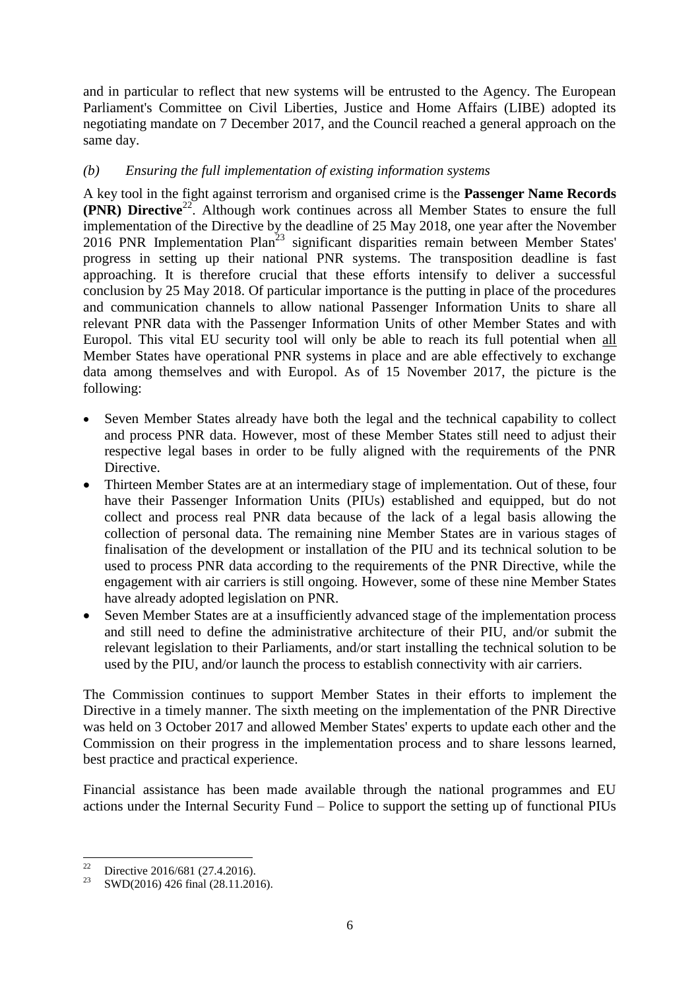and in particular to reflect that new systems will be entrusted to the Agency. The European Parliament's Committee on Civil Liberties, Justice and Home Affairs (LIBE) adopted its negotiating mandate on 7 December 2017, and the Council reached a general approach on the same day.

# *(b) Ensuring the full implementation of existing information systems*

A key tool in the fight against terrorism and organised crime is the **Passenger Name Records (PNR) Directive**<sup>22</sup>. Although work continues across all Member States to ensure the full implementation of the Directive by the deadline of 25 May 2018, one year after the November  $2016$  PNR Implementation Plan<sup>23</sup> significant disparities remain between Member States' progress in setting up their national PNR systems. The transposition deadline is fast approaching. It is therefore crucial that these efforts intensify to deliver a successful conclusion by 25 May 2018. Of particular importance is the putting in place of the procedures and communication channels to allow national Passenger Information Units to share all relevant PNR data with the Passenger Information Units of other Member States and with Europol. This vital EU security tool will only be able to reach its full potential when all Member States have operational PNR systems in place and are able effectively to exchange data among themselves and with Europol. As of 15 November 2017, the picture is the following:

- Seven Member States already have both the legal and the technical capability to collect and process PNR data. However, most of these Member States still need to adjust their respective legal bases in order to be fully aligned with the requirements of the PNR Directive.
- Thirteen Member States are at an intermediary stage of implementation. Out of these, four have their Passenger Information Units (PIUs) established and equipped, but do not collect and process real PNR data because of the lack of a legal basis allowing the collection of personal data. The remaining nine Member States are in various stages of finalisation of the development or installation of the PIU and its technical solution to be used to process PNR data according to the requirements of the PNR Directive, while the engagement with air carriers is still ongoing. However, some of these nine Member States have already adopted legislation on PNR.
- Seven Member States are at a insufficiently advanced stage of the implementation process and still need to define the administrative architecture of their PIU, and/or submit the relevant legislation to their Parliaments, and/or start installing the technical solution to be used by the PIU, and/or launch the process to establish connectivity with air carriers.

The Commission continues to support Member States in their efforts to implement the Directive in a timely manner. The sixth meeting on the implementation of the PNR Directive was held on 3 October 2017 and allowed Member States' experts to update each other and the Commission on their progress in the implementation process and to share lessons learned, best practice and practical experience.

Financial assistance has been made available through the national programmes and EU actions under the Internal Security Fund – Police to support the setting up of functional PIUs

 $22$ Directive 2016/681 (27.4.2016).

<sup>&</sup>lt;sup>23</sup> SWD(2016) 426 final (28.11.2016).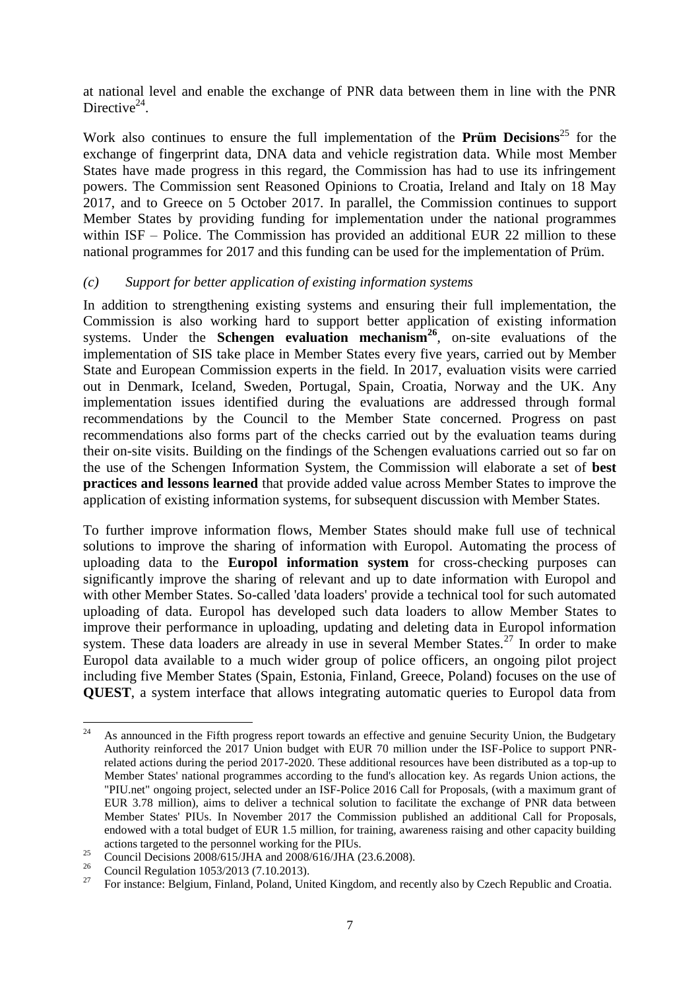at national level and enable the exchange of PNR data between them in line with the PNR Directive $^{24}$ .

Work also continues to ensure the full implementation of the **Prüm Decisions**<sup>25</sup> for the exchange of fingerprint data, DNA data and vehicle registration data. While most Member States have made progress in this regard, the Commission has had to use its infringement powers. The Commission sent Reasoned Opinions to Croatia, Ireland and Italy on 18 May 2017, and to Greece on 5 October 2017. In parallel, the Commission continues to support Member States by providing funding for implementation under the national programmes within ISF – Police. The Commission has provided an additional EUR 22 million to these national programmes for 2017 and this funding can be used for the implementation of Prüm.

### *(c) Support for better application of existing information systems*

In addition to strengthening existing systems and ensuring their full implementation, the Commission is also working hard to support better application of existing information systems. Under the **Schengen evaluation mechanism<sup>26</sup>**, on-site evaluations of the implementation of SIS take place in Member States every five years, carried out by Member State and European Commission experts in the field. In 2017, evaluation visits were carried out in Denmark, Iceland, Sweden, Portugal, Spain, Croatia, Norway and the UK. Any implementation issues identified during the evaluations are addressed through formal recommendations by the Council to the Member State concerned. Progress on past recommendations also forms part of the checks carried out by the evaluation teams during their on-site visits. Building on the findings of the Schengen evaluations carried out so far on the use of the Schengen Information System, the Commission will elaborate a set of **best practices and lessons learned** that provide added value across Member States to improve the application of existing information systems, for subsequent discussion with Member States.

To further improve information flows, Member States should make full use of technical solutions to improve the sharing of information with Europol. Automating the process of uploading data to the **Europol information system** for cross-checking purposes can significantly improve the sharing of relevant and up to date information with Europol and with other Member States. So-called 'data loaders' provide a technical tool for such automated uploading of data. Europol has developed such data loaders to allow Member States to improve their performance in uploading, updating and deleting data in Europol information system. These data loaders are already in use in several Member States.<sup>27</sup> In order to make Europol data available to a much wider group of police officers, an ongoing pilot project including five Member States (Spain, Estonia, Finland, Greece, Poland) focuses on the use of **QUEST**, a system interface that allows integrating automatic queries to Europol data from

 $24\,$ <sup>24</sup> As announced in the Fifth progress report towards an effective and genuine Security Union, the Budgetary Authority reinforced the 2017 Union budget with EUR 70 million under the ISF-Police to support PNRrelated actions during the period 2017-2020. These additional resources have been distributed as a top-up to Member States' national programmes according to the fund's allocation key. As regards Union actions, the "PIU.net" ongoing project, selected under an ISF-Police 2016 Call for Proposals, (with a maximum grant of EUR 3.78 million), aims to deliver a technical solution to facilitate the exchange of PNR data between Member States' PIUs. In November 2017 the Commission published an additional Call for Proposals, endowed with a total budget of EUR 1.5 million, for training, awareness raising and other capacity building actions targeted to the personnel working for the PIUs.

<sup>&</sup>lt;sup>25</sup> Council Decisions 2008/615/JHA and 2008/616/JHA (23.6.2008).

<sup>&</sup>lt;sup>26</sup> Council Regulation 1053/2013 (7.10.2013).

<sup>27</sup> For instance: Belgium, Finland, Poland, United Kingdom, and recently also by Czech Republic and Croatia.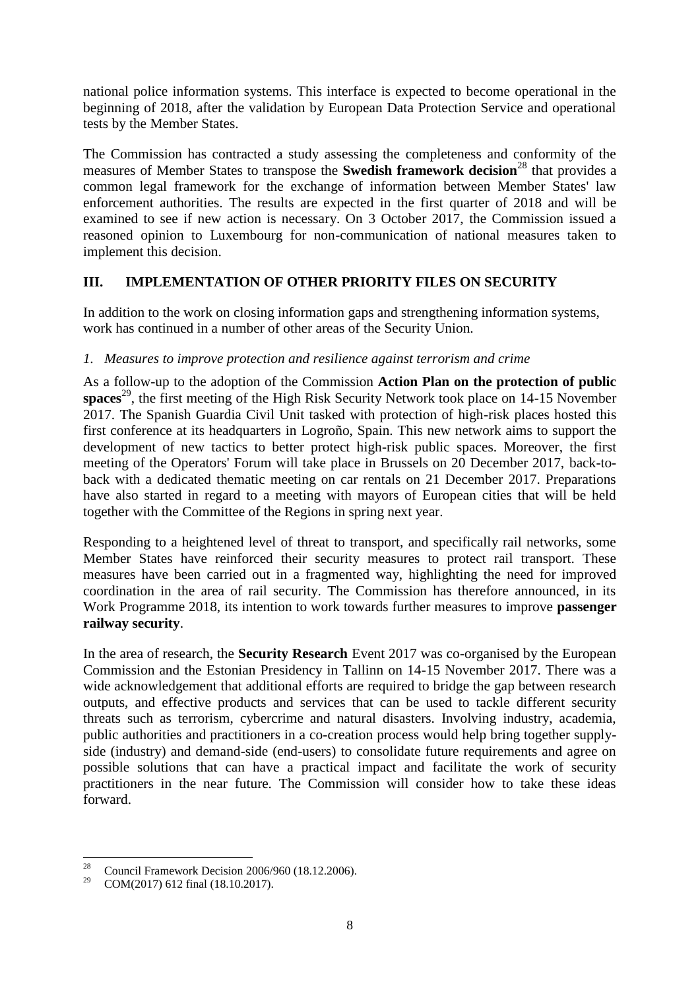national police information systems. This interface is expected to become operational in the beginning of 2018, after the validation by European Data Protection Service and operational tests by the Member States.

The Commission has contracted a study assessing the completeness and conformity of the measures of Member States to transpose the **Swedish framework decision**<sup>28</sup> that provides a common legal framework for the exchange of information between Member States' law enforcement authorities. The results are expected in the first quarter of 2018 and will be examined to see if new action is necessary. On 3 October 2017, the Commission issued a reasoned opinion to Luxembourg for non-communication of national measures taken to implement this decision.

# **III. IMPLEMENTATION OF OTHER PRIORITY FILES ON SECURITY**

In addition to the work on closing information gaps and strengthening information systems, work has continued in a number of other areas of the Security Union.

# *1. Measures to improve protection and resilience against terrorism and crime*

As a follow-up to the adoption of the Commission **Action Plan on the protection of public spaces**<sup>29</sup>, the first meeting of the High Risk Security Network took place on 14-15 November 2017. The Spanish Guardia Civil Unit tasked with protection of high-risk places hosted this first conference at its headquarters in Logroño, Spain. This new network aims to support the development of new tactics to better protect high-risk public spaces. Moreover, the first meeting of the Operators' Forum will take place in Brussels on 20 December 2017, back-toback with a dedicated thematic meeting on car rentals on 21 December 2017. Preparations have also started in regard to a meeting with mayors of European cities that will be held together with the Committee of the Regions in spring next year.

Responding to a heightened level of threat to transport, and specifically rail networks, some Member States have reinforced their security measures to protect rail transport. These measures have been carried out in a fragmented way, highlighting the need for improved coordination in the area of rail security. The Commission has therefore announced, in its Work Programme 2018, its intention to work towards further measures to improve **passenger railway security**.

In the area of research, the **Security Research** Event 2017 was co-organised by the European Commission and the Estonian Presidency in Tallinn on 14-15 November 2017. There was a wide acknowledgement that additional efforts are required to bridge the gap between research outputs, and effective products and services that can be used to tackle different security threats such as terrorism, cybercrime and natural disasters. Involving industry, academia, public authorities and practitioners in a co-creation process would help bring together supplyside (industry) and demand-side (end-users) to consolidate future requirements and agree on possible solutions that can have a practical impact and facilitate the work of security practitioners in the near future. The Commission will consider how to take these ideas forward.

 $28$ <sup>28</sup> Council Framework Decision 2006/960 (18.12.2006).<br><sup>29</sup> COM(2017) 612 final (18.10.2017)

COM(2017) 612 final (18.10.2017).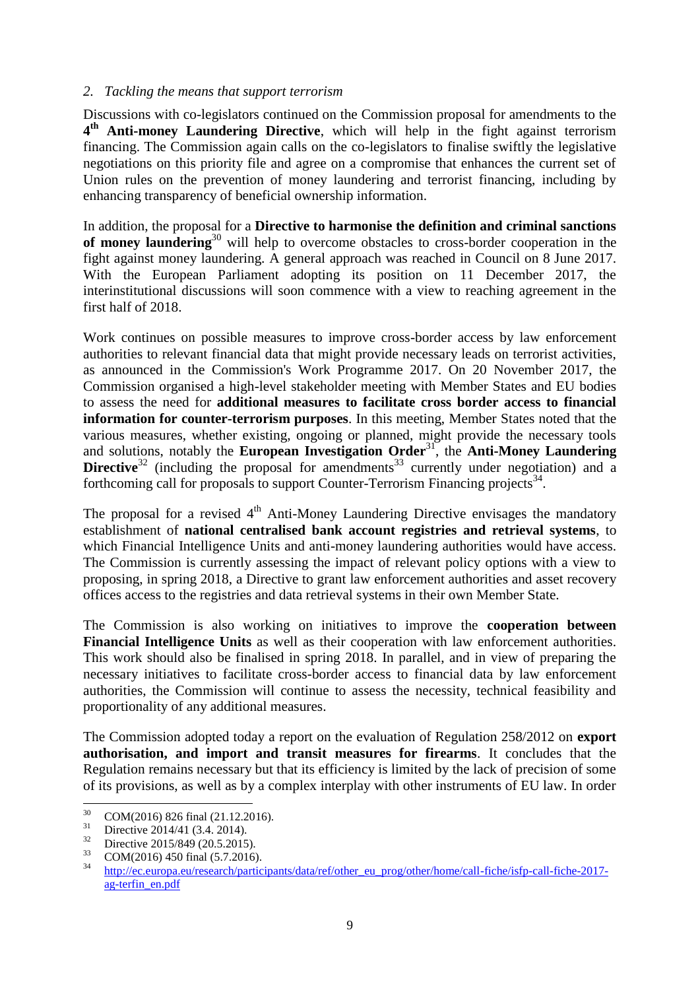### *2. Tackling the means that support terrorism*

Discussions with co-legislators continued on the Commission proposal for amendments to the **4 th Anti-money Laundering Directive**, which will help in the fight against terrorism financing. The Commission again calls on the co-legislators to finalise swiftly the legislative negotiations on this priority file and agree on a compromise that enhances the current set of Union rules on the prevention of money laundering and terrorist financing, including by enhancing transparency of beneficial ownership information.

In addition, the proposal for a **Directive to harmonise the definition and criminal sanctions of money laundering**<sup>30</sup> will help to overcome obstacles to cross-border cooperation in the fight against money laundering. A general approach was reached in Council on 8 June 2017. With the European Parliament adopting its position on 11 December 2017, the interinstitutional discussions will soon commence with a view to reaching agreement in the first half of 2018.

Work continues on possible measures to improve cross-border access by law enforcement authorities to relevant financial data that might provide necessary leads on terrorist activities, as announced in the Commission's Work Programme 2017. On 20 November 2017, the Commission organised a high-level stakeholder meeting with Member States and EU bodies to assess the need for **additional measures to facilitate cross border access to financial information for counter-terrorism purposes**. In this meeting, Member States noted that the various measures, whether existing, ongoing or planned, might provide the necessary tools and solutions, notably the **European Investigation Order**<sup>31</sup>, the **Anti-Money Laundering Directive**<sup>32</sup> (including the proposal for amendments<sup>33</sup> currently under negotiation) and a forthcoming call for proposals to support Counter-Terrorism Financing projects<sup>34</sup>.

The proposal for a revised  $4<sup>th</sup>$  Anti-Money Laundering Directive envisages the mandatory establishment of **national centralised bank account registries and retrieval systems**, to which Financial Intelligence Units and anti-money laundering authorities would have access. The Commission is currently assessing the impact of relevant policy options with a view to proposing, in spring 2018, a Directive to grant law enforcement authorities and asset recovery offices access to the registries and data retrieval systems in their own Member State.

The Commission is also working on initiatives to improve the **cooperation between Financial Intelligence Units** as well as their cooperation with law enforcement authorities. This work should also be finalised in spring 2018. In parallel, and in view of preparing the necessary initiatives to facilitate cross-border access to financial data by law enforcement authorities, the Commission will continue to assess the necessity, technical feasibility and proportionality of any additional measures.

The Commission adopted today a report on the evaluation of Regulation 258/2012 on **export authorisation, and import and transit measures for firearms**. It concludes that the Regulation remains necessary but that its efficiency is limited by the lack of precision of some of its provisions, as well as by a complex interplay with other instruments of EU law. In order

<sup>30</sup>  $30 \text{ COM}(2016) 826 \text{ final} (21.12.2016).$ 

 $31 \text{ Directive } 2014/41 \ (3.4. 2014).$ 

<sup>&</sup>lt;sup>32</sup> Directive 2015/849 (20.5.2015).

 $\frac{33}{34}$  COM(2016) 450 final (5.7.2016).

[http://ec.europa.eu/research/participants/data/ref/other\\_eu\\_prog/other/home/call-fiche/isfp-call-fiche-2017](http://ec.europa.eu/research/participants/data/ref/other_eu_prog/other/home/call-fiche/isfp-call-fiche-2017-ag-terfin_en.pdf) [ag-terfin\\_en.pdf](http://ec.europa.eu/research/participants/data/ref/other_eu_prog/other/home/call-fiche/isfp-call-fiche-2017-ag-terfin_en.pdf)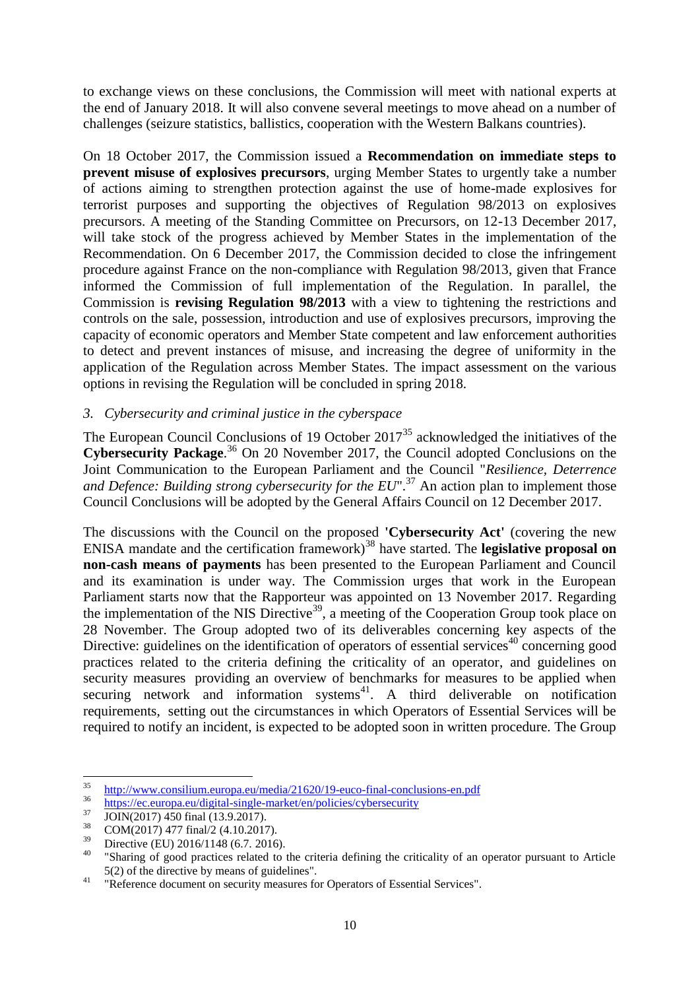to exchange views on these conclusions, the Commission will meet with national experts at the end of January 2018. It will also convene several meetings to move ahead on a number of challenges (seizure statistics, ballistics, cooperation with the Western Balkans countries).

On 18 October 2017, the Commission issued a **Recommendation on immediate steps to prevent misuse of explosives precursors**, urging Member States to urgently take a number of actions aiming to strengthen protection against the use of home-made explosives for terrorist purposes and supporting the objectives of Regulation 98/2013 on explosives precursors. A meeting of the Standing Committee on Precursors, on 12-13 December 2017, will take stock of the progress achieved by Member States in the implementation of the Recommendation. On 6 December 2017, the Commission decided to close the infringement procedure against France on the non-compliance with Regulation 98/2013, given that France informed the Commission of full implementation of the Regulation. In parallel, the Commission is **revising Regulation 98/2013** with a view to tightening the restrictions and controls on the sale, possession, introduction and use of explosives precursors, improving the capacity of economic operators and Member State competent and law enforcement authorities to detect and prevent instances of misuse, and increasing the degree of uniformity in the application of the Regulation across Member States. The impact assessment on the various options in revising the Regulation will be concluded in spring 2018.

# *3. Cybersecurity and criminal justice in the cyberspace*

The European Council Conclusions of 19 October  $2017<sup>35</sup>$  acknowledged the initiatives of the **Cybersecurity Package**. <sup>36</sup> On 20 November 2017, the Council adopted Conclusions on the Joint Communication to the European Parliament and the Council "*Resilience, Deterrence and Defence: Building strong cybersecurity for the EU*".<sup>37</sup> An action plan to implement those Council Conclusions will be adopted by the General Affairs Council on 12 December 2017.

The discussions with the Council on the proposed **'Cybersecurity Act'** (covering the new ENISA mandate and the certification framework)<sup>38</sup> have started. The **legislative proposal on non-cash means of payments** has been presented to the European Parliament and Council and its examination is under way. The Commission urges that work in the European Parliament starts now that the Rapporteur was appointed on 13 November 2017. Regarding the implementation of the NIS Directive<sup>39</sup>, a meeting of the Cooperation Group took place on 28 November. The Group adopted two of its deliverables concerning key aspects of the Directive: guidelines on the identification of operators of essential services<sup>40</sup> concerning good practices related to the criteria defining the criticality of an operator, and guidelines on security measures providing an overview of benchmarks for measures to be applied when securing network and information systems $41$ . A third deliverable on notification requirements, setting out the circumstances in which Operators of Essential Services will be required to notify an incident, is expected to be adopted soon in written procedure. The Group

<sup>35</sup> <sup>35</sup> <http://www.consilium.europa.eu/media/21620/19-euco-final-conclusions-en.pdf>

<sup>36</sup> <https://ec.europa.eu/digital-single-market/en/policies/cybersecurity>

 $37 \text{ JOIN}(2017) \overline{450} \text{ final} \ (13.9.2017).$ 

 $\frac{38}{39}$  COM(2017) 477 final/2 (4.10.2017).

 $^{39}$  Directive (EU) 2016/1148 (6.7. 2016).

<sup>&</sup>quot;Sharing of good practices related to the criteria defining the criticality of an operator pursuant to Article 5(2) of the directive by means of guidelines".

<sup>&</sup>lt;sup>41</sup> "Reference document on security measures for Operators of Essential Services".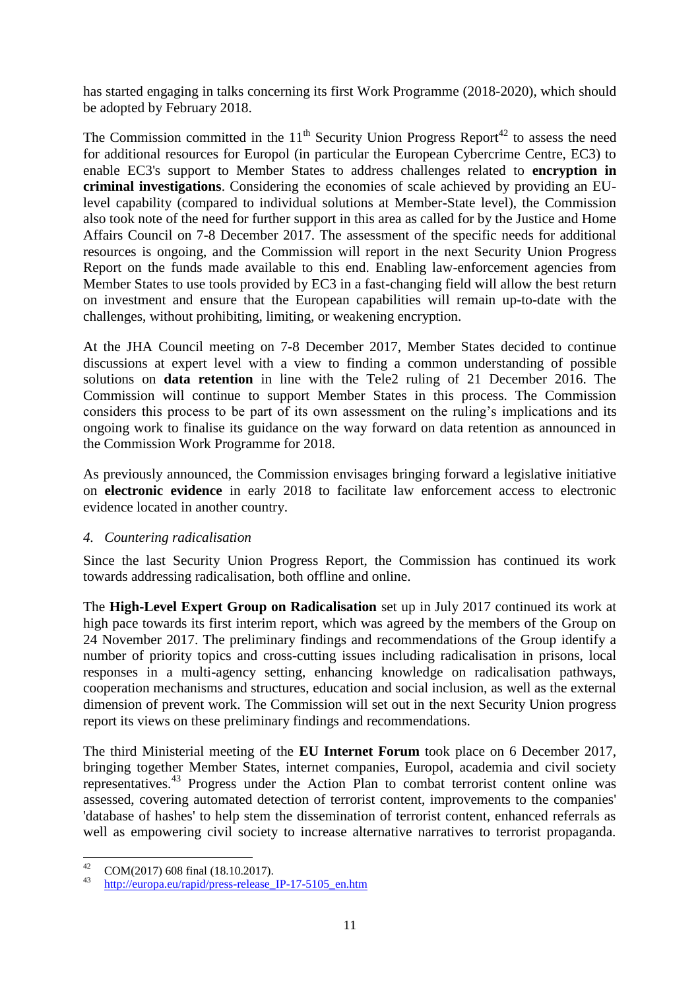has started engaging in talks concerning its first Work Programme (2018-2020), which should be adopted by February 2018.

The Commission committed in the  $11<sup>th</sup>$  Security Union Progress Report<sup>42</sup> to assess the need for additional resources for Europol (in particular the European Cybercrime Centre, EC3) to enable EC3's support to Member States to address challenges related to **encryption in criminal investigations**. Considering the economies of scale achieved by providing an EUlevel capability (compared to individual solutions at Member-State level), the Commission also took note of the need for further support in this area as called for by the Justice and Home Affairs Council on 7-8 December 2017. The assessment of the specific needs for additional resources is ongoing, and the Commission will report in the next Security Union Progress Report on the funds made available to this end. Enabling law-enforcement agencies from Member States to use tools provided by EC3 in a fast-changing field will allow the best return on investment and ensure that the European capabilities will remain up-to-date with the challenges, without prohibiting, limiting, or weakening encryption.

At the JHA Council meeting on 7-8 December 2017, Member States decided to continue discussions at expert level with a view to finding a common understanding of possible solutions on **data retention** in line with the Tele2 ruling of 21 December 2016. The Commission will continue to support Member States in this process. The Commission considers this process to be part of its own assessment on the ruling's implications and its ongoing work to finalise its guidance on the way forward on data retention as announced in the Commission Work Programme for 2018.

As previously announced, the Commission envisages bringing forward a legislative initiative on **electronic evidence** in early 2018 to facilitate law enforcement access to electronic evidence located in another country.

# *4. Countering radicalisation*

Since the last Security Union Progress Report, the Commission has continued its work towards addressing radicalisation, both offline and online.

The **High-Level Expert Group on Radicalisation** set up in July 2017 continued its work at high pace towards its first interim report, which was agreed by the members of the Group on 24 November 2017. The preliminary findings and recommendations of the Group identify a number of priority topics and cross-cutting issues including radicalisation in prisons, local responses in a multi-agency setting, enhancing knowledge on radicalisation pathways, cooperation mechanisms and structures, education and social inclusion, as well as the external dimension of prevent work. The Commission will set out in the next Security Union progress report its views on these preliminary findings and recommendations.

The third Ministerial meeting of the **EU Internet Forum** took place on 6 December 2017, bringing together Member States, internet companies, Europol, academia and civil society representatives.<sup>43</sup> Progress under the Action Plan to combat terrorist content online was assessed, covering automated detection of terrorist content, improvements to the companies' 'database of hashes' to help stem the dissemination of terrorist content, enhanced referrals as well as empowering civil society to increase alternative narratives to terrorist propaganda.

 $42^{\circ}$  $^{42}$  COM(2017) 608 final (18.10.2017).

http://europa.eu/rapid/press-release IP-17-5105 en.htm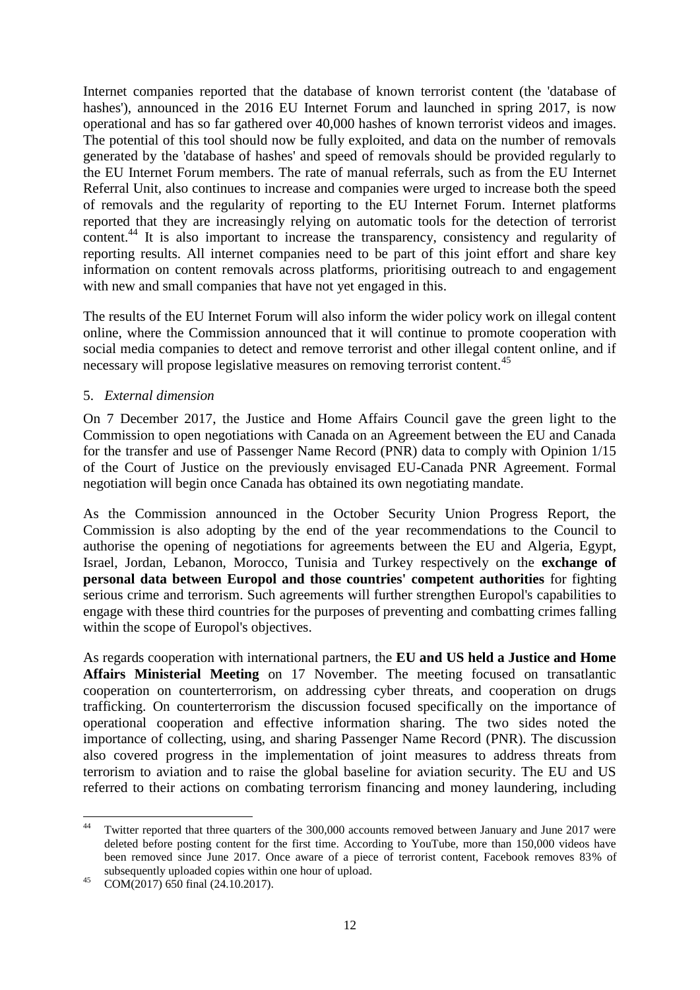Internet companies reported that the database of known terrorist content (the 'database of hashes'), announced in the 2016 EU Internet Forum and launched in spring 2017, is now operational and has so far gathered over 40,000 hashes of known terrorist videos and images. The potential of this tool should now be fully exploited, and data on the number of removals generated by the 'database of hashes' and speed of removals should be provided regularly to the EU Internet Forum members. The rate of manual referrals, such as from the EU Internet Referral Unit, also continues to increase and companies were urged to increase both the speed of removals and the regularity of reporting to the EU Internet Forum. Internet platforms reported that they are increasingly relying on automatic tools for the detection of terrorist content.<sup>44</sup> It is also important to increase the transparency, consistency and regularity of reporting results. All internet companies need to be part of this joint effort and share key information on content removals across platforms, prioritising outreach to and engagement with new and small companies that have not yet engaged in this.

The results of the EU Internet Forum will also inform the wider policy work on illegal content online, where the Commission announced that it will continue to promote cooperation with social media companies to detect and remove terrorist and other illegal content online, and if necessary will propose legislative measures on removing terrorist content.<sup>45</sup>

# 5. *External dimension*

On 7 December 2017, the Justice and Home Affairs Council gave the green light to the Commission to open negotiations with Canada on an Agreement between the EU and Canada for the transfer and use of Passenger Name Record (PNR) data to comply with Opinion 1/15 of the Court of Justice on the previously envisaged EU-Canada PNR Agreement. Formal negotiation will begin once Canada has obtained its own negotiating mandate.

As the Commission announced in the October Security Union Progress Report, the Commission is also adopting by the end of the year recommendations to the Council to authorise the opening of negotiations for agreements between the EU and Algeria, Egypt, Israel, Jordan, Lebanon, Morocco, Tunisia and Turkey respectively on the **exchange of personal data between Europol and those countries' competent authorities** for fighting serious crime and terrorism. Such agreements will further strengthen Europol's capabilities to engage with these third countries for the purposes of preventing and combatting crimes falling within the scope of Europol's objectives.

As regards cooperation with international partners, the **EU and US held a Justice and Home Affairs Ministerial Meeting** on 17 November. The meeting focused on transatlantic cooperation on counterterrorism, on addressing cyber threats, and cooperation on drugs trafficking. On counterterrorism the discussion focused specifically on the importance of operational cooperation and effective information sharing. The two sides noted the importance of collecting, using, and sharing Passenger Name Record (PNR). The discussion also covered progress in the implementation of joint measures to address threats from terrorism to aviation and to raise the global baseline for aviation security. The EU and US referred to their actions on combating terrorism financing and money laundering, including

 $44$ Twitter reported that three quarters of the 300,000 accounts removed between January and June 2017 were deleted before posting content for the first time. According to YouTube, more than 150,000 videos have been removed since June 2017. Once aware of a piece of terrorist content, Facebook removes 83% of subsequently uploaded copies within one hour of upload.

<sup>45</sup> COM(2017) 650 final (24.10.2017).